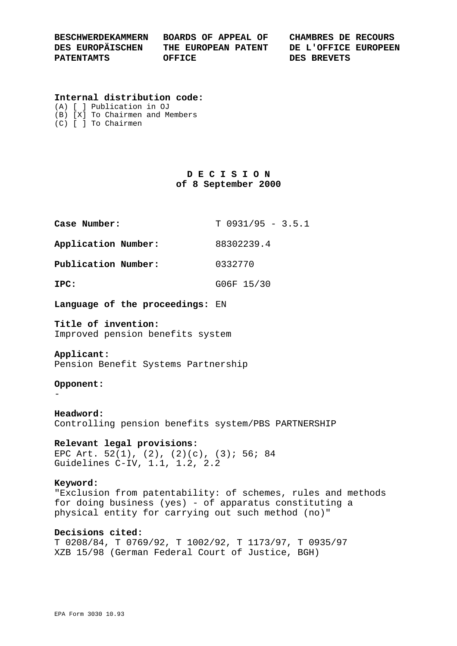| <b>BESCHWERDEKAMMERN</b> | BOARDS OF APPEAL OF | CHAMBRES DE RECOURS  |
|--------------------------|---------------------|----------------------|
| DES EUROPÄISCHEN         | THE EUROPEAN PATENT | DE L'OFFICE EUROPEEN |
| <b>PATENTAMTS</b>        | OFFICE              | DES BREVETS          |

#### **Internal distribution code:**

|  | (A) [ ] Publication in OJ           |  |
|--|-------------------------------------|--|
|  | (B) [X] To Chairmen and Members     |  |
|  | $(C)$ $\lceil$ $\rceil$ To Chairmen |  |

## **D E C I S I O N of 8 September 2000**

| Case Number:        | $T$ 0931/95 - 3.5.1 |
|---------------------|---------------------|
| Application Number: | 88302239.4          |
| Publication Number: | 0332770             |
| IPC:                | G06F 15/30          |

**Language of the proceedings:** EN

**Title of invention:** Improved pension benefits system

#### **Applicant:**

Pension Benefit Systems Partnership

### **Opponent:**

-

**Headword:** Controlling pension benefits system/PBS PARTNERSHIP

# **Relevant legal provisions:** EPC Art. 52(1), (2), (2)(c), (3); 56; 84

# Guidelines C-IV, 1.1, 1.2, 2.2

## **Keyword:**

"Exclusion from patentability: of schemes, rules and methods for doing business (yes) - of apparatus constituting a physical entity for carrying out such method (no)"

## **Decisions cited:**

T 0208/84, T 0769/92, T 1002/92, T 1173/97, T 0935/97 XZB 15/98 (German Federal Court of Justice, BGH)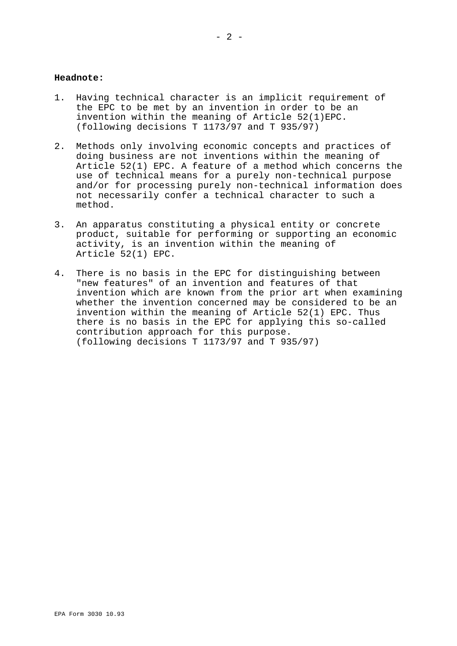### **Headnote:**

- 1. Having technical character is an implicit requirement of the EPC to be met by an invention in order to be an invention within the meaning of Article 52(1)EPC. (following decisions T 1173/97 and T 935/97)
- 2. Methods only involving economic concepts and practices of doing business are not inventions within the meaning of Article 52(1) EPC. A feature of a method which concerns the use of technical means for a purely non-technical purpose and/or for processing purely non-technical information does not necessarily confer a technical character to such a method.
- 3. An apparatus constituting a physical entity or concrete product, suitable for performing or supporting an economic activity, is an invention within the meaning of Article 52(1) EPC.
- 4. There is no basis in the EPC for distinguishing between "new features" of an invention and features of that invention which are known from the prior art when examining whether the invention concerned may be considered to be an invention within the meaning of Article 52(1) EPC. Thus there is no basis in the EPC for applying this so-called contribution approach for this purpose. (following decisions T 1173/97 and T 935/97)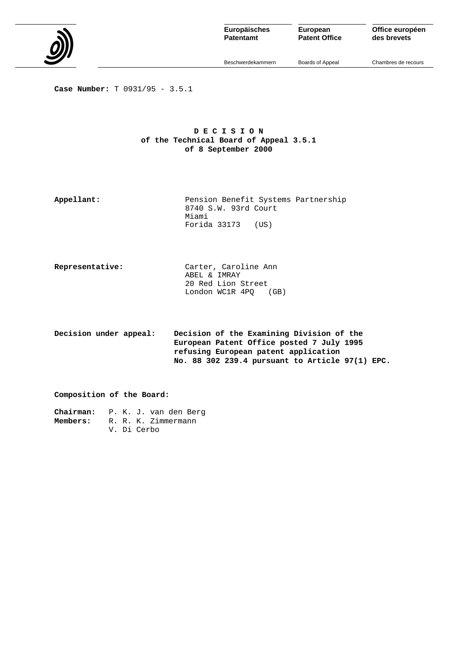

**Patentamt**

**European Patent Office** **Office européen des brevets**

Beschwerdekammern

Boards of Appeal

Chambres de recours

**Case Number:** T 0931/95 - 3.5.1

### **D E C I S I O N of the Technical Board of Appeal 3.5.1 of 8 September 2000**

**Appellant:** Pension Benefit Systems Partnership 8740 S.W. 93rd Court Miami Forida 33173 (US)

| Representative: | Carter, Caroline Ann    |
|-----------------|-------------------------|
|                 | ABEL & IMRAY            |
|                 | 20 Red Lion Street      |
|                 | London WC1R 4PO<br>(GB) |
|                 |                         |

**Decision under appeal: Decision of the Examining Division of the European Patent Office posted 7 July 1995 refusing European patent application No. 88 302 239.4 pursuant to Article 97(1) EPC.**

**Composition of the Board:**

**Chairman:** P. K. J. van den Berg **Members:** R. R. K. Zimmermann V. Di Cerbo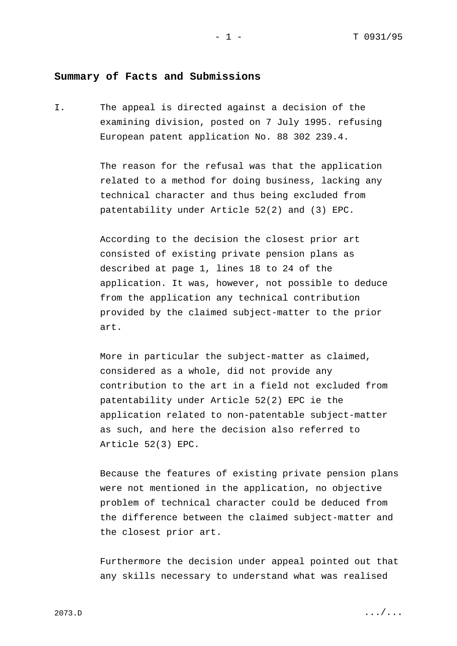## **Summary of Facts and Submissions**

I. The appeal is directed against a decision of the examining division, posted on 7 July 1995. refusing European patent application No. 88 302 239.4.

> The reason for the refusal was that the application related to a method for doing business, lacking any technical character and thus being excluded from patentability under Article 52(2) and (3) EPC.

According to the decision the closest prior art consisted of existing private pension plans as described at page 1, lines 18 to 24 of the application. It was, however, not possible to deduce from the application any technical contribution provided by the claimed subject-matter to the prior art.

More in particular the subject-matter as claimed, considered as a whole, did not provide any contribution to the art in a field not excluded from patentability under Article 52(2) EPC ie the application related to non-patentable subject-matter as such, and here the decision also referred to Article 52(3) EPC.

Because the features of existing private pension plans were not mentioned in the application, no objective problem of technical character could be deduced from the difference between the claimed subject-matter and the closest prior art.

Furthermore the decision under appeal pointed out that any skills necessary to understand what was realised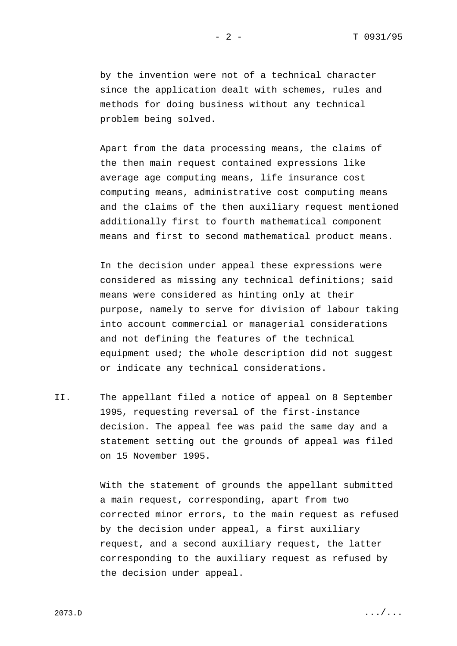by the invention were not of a technical character since the application dealt with schemes, rules and methods for doing business without any technical problem being solved.

Apart from the data processing means, the claims of the then main request contained expressions like average age computing means, life insurance cost computing means, administrative cost computing means and the claims of the then auxiliary request mentioned additionally first to fourth mathematical component means and first to second mathematical product means.

In the decision under appeal these expressions were considered as missing any technical definitions; said means were considered as hinting only at their purpose, namely to serve for division of labour taking into account commercial or managerial considerations and not defining the features of the technical equipment used; the whole description did not suggest or indicate any technical considerations.

II. The appellant filed a notice of appeal on 8 September 1995, requesting reversal of the first-instance decision. The appeal fee was paid the same day and a statement setting out the grounds of appeal was filed on 15 November 1995.

> With the statement of grounds the appellant submitted a main request, corresponding, apart from two corrected minor errors, to the main request as refused by the decision under appeal, a first auxiliary request, and a second auxiliary request, the latter corresponding to the auxiliary request as refused by the decision under appeal.

 $2073.D$  .  $D$  ... / ...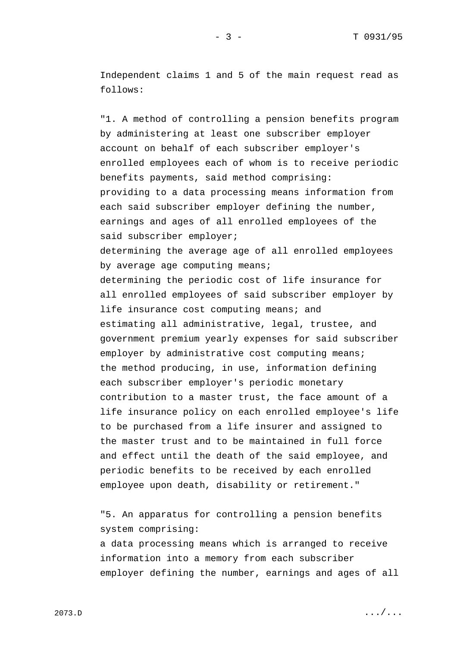Independent claims 1 and 5 of the main request read as follows:

"1. A method of controlling a pension benefits program by administering at least one subscriber employer account on behalf of each subscriber employer's enrolled employees each of whom is to receive periodic benefits payments, said method comprising: providing to a data processing means information from each said subscriber employer defining the number, earnings and ages of all enrolled employees of the said subscriber employer; determining the average age of all enrolled employees by average age computing means; determining the periodic cost of life insurance for all enrolled employees of said subscriber employer by life insurance cost computing means; and estimating all administrative, legal, trustee, and government premium yearly expenses for said subscriber employer by administrative cost computing means; the method producing, in use, information defining each subscriber employer's periodic monetary contribution to a master trust, the face amount of a life insurance policy on each enrolled employee's life to be purchased from a life insurer and assigned to the master trust and to be maintained in full force and effect until the death of the said employee, and periodic benefits to be received by each enrolled employee upon death, disability or retirement."

"5. An apparatus for controlling a pension benefits system comprising: a data processing means which is arranged to receive information into a memory from each subscriber employer defining the number, earnings and ages of all

 $2073.D$  .  $D$  ... / ...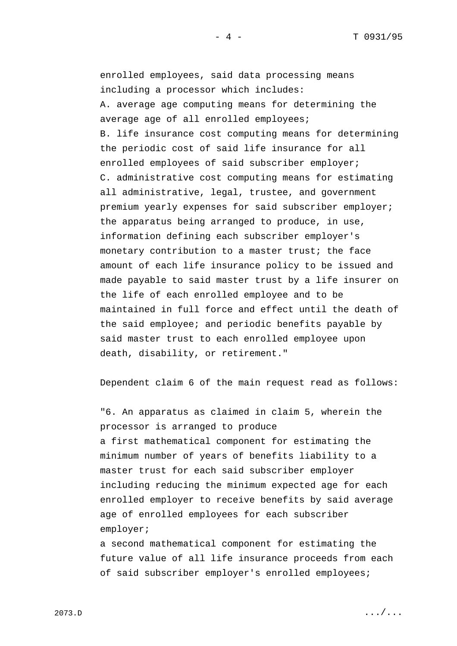enrolled employees, said data processing means including a processor which includes: A. average age computing means for determining the

average age of all enrolled employees; B. life insurance cost computing means for determining the periodic cost of said life insurance for all enrolled employees of said subscriber employer; C. administrative cost computing means for estimating all administrative, legal, trustee, and government premium yearly expenses for said subscriber employer; the apparatus being arranged to produce, in use, information defining each subscriber employer's monetary contribution to a master trust; the face amount of each life insurance policy to be issued and made payable to said master trust by a life insurer on the life of each enrolled employee and to be maintained in full force and effect until the death of the said employee; and periodic benefits payable by said master trust to each enrolled employee upon death, disability, or retirement."

Dependent claim 6 of the main request read as follows:

"6. An apparatus as claimed in claim 5, wherein the processor is arranged to produce a first mathematical component for estimating the minimum number of years of benefits liability to a master trust for each said subscriber employer including reducing the minimum expected age for each enrolled employer to receive benefits by said average age of enrolled employees for each subscriber employer;

a second mathematical component for estimating the future value of all life insurance proceeds from each of said subscriber employer's enrolled employees;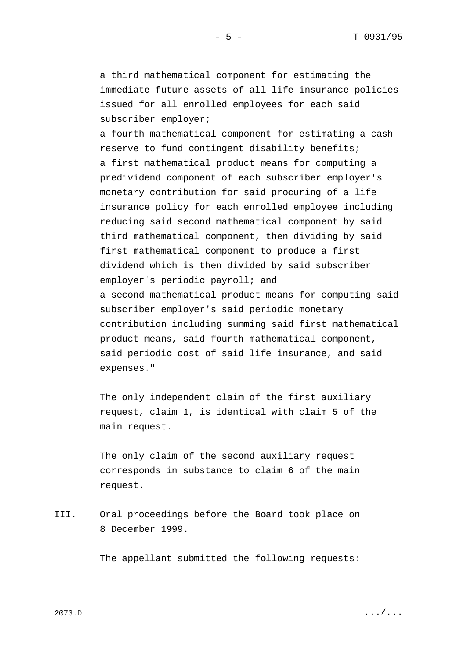a third mathematical component for estimating the immediate future assets of all life insurance policies issued for all enrolled employees for each said subscriber employer;

a fourth mathematical component for estimating a cash reserve to fund contingent disability benefits; a first mathematical product means for computing a predividend component of each subscriber employer's monetary contribution for said procuring of a life insurance policy for each enrolled employee including reducing said second mathematical component by said third mathematical component, then dividing by said first mathematical component to produce a first dividend which is then divided by said subscriber employer's periodic payroll; and a second mathematical product means for computing said subscriber employer's said periodic monetary contribution including summing said first mathematical product means, said fourth mathematical component, said periodic cost of said life insurance, and said expenses."

The only independent claim of the first auxiliary request, claim 1, is identical with claim 5 of the main request.

The only claim of the second auxiliary request corresponds in substance to claim 6 of the main request.

III. Oral proceedings before the Board took place on 8 December 1999.

The appellant submitted the following requests:

 $2073.D$  .  $D$  ... / ...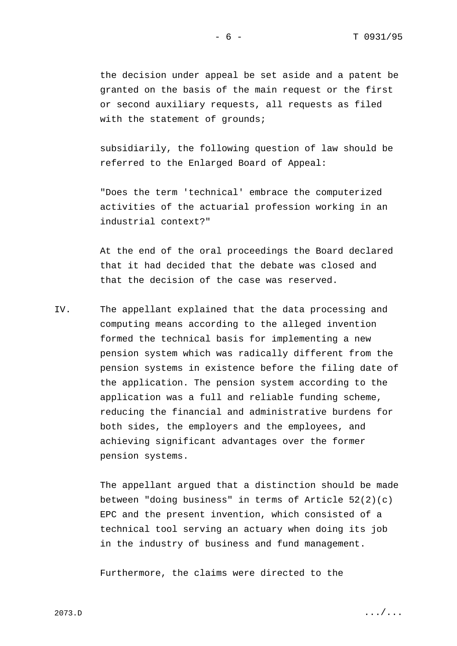the decision under appeal be set aside and a patent be granted on the basis of the main request or the first or second auxiliary requests, all requests as filed with the statement of grounds;

subsidiarily, the following question of law should be referred to the Enlarged Board of Appeal:

"Does the term 'technical' embrace the computerized activities of the actuarial profession working in an industrial context?"

At the end of the oral proceedings the Board declared that it had decided that the debate was closed and that the decision of the case was reserved.

IV. The appellant explained that the data processing and computing means according to the alleged invention formed the technical basis for implementing a new pension system which was radically different from the pension systems in existence before the filing date of the application. The pension system according to the application was a full and reliable funding scheme, reducing the financial and administrative burdens for both sides, the employers and the employees, and achieving significant advantages over the former pension systems.

> The appellant argued that a distinction should be made between "doing business" in terms of Article 52(2)(c) EPC and the present invention, which consisted of a technical tool serving an actuary when doing its job in the industry of business and fund management.

Furthermore, the claims were directed to the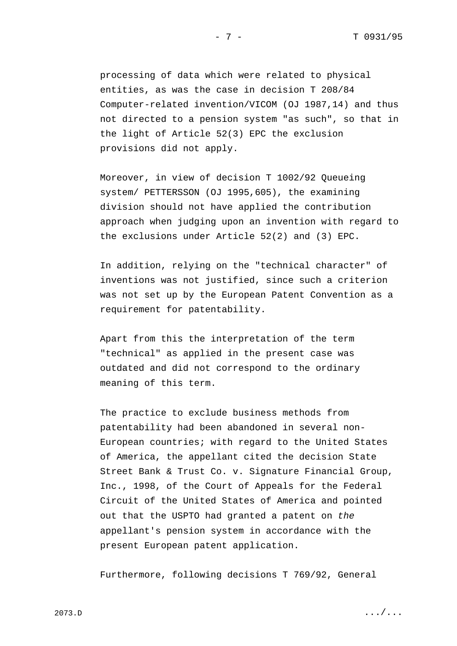processing of data which were related to physical entities, as was the case in decision T 208/84 Computer-related invention/VICOM (OJ 1987,14) and thus not directed to a pension system "as such", so that in the light of Article 52(3) EPC the exclusion provisions did not apply.

Moreover, in view of decision T 1002/92 Queueing system/ PETTERSSON (OJ 1995,605), the examining division should not have applied the contribution approach when judging upon an invention with regard to the exclusions under Article 52(2) and (3) EPC.

In addition, relying on the "technical character" of inventions was not justified, since such a criterion was not set up by the European Patent Convention as a requirement for patentability.

Apart from this the interpretation of the term "technical" as applied in the present case was outdated and did not correspond to the ordinary meaning of this term.

The practice to exclude business methods from patentability had been abandoned in several non-European countries; with regard to the United States of America, the appellant cited the decision State Street Bank & Trust Co. v. Signature Financial Group, Inc., 1998, of the Court of Appeals for the Federal Circuit of the United States of America and pointed out that the USPTO had granted a patent on *the* appellant's pension system in accordance with the present European patent application.

Furthermore, following decisions T 769/92, General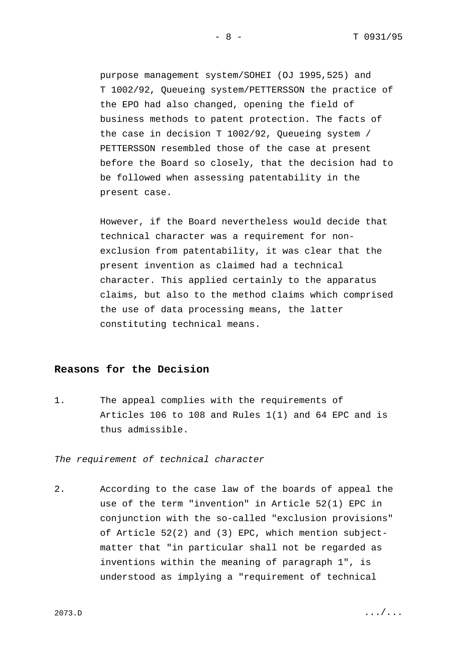purpose management system/SOHEI (OJ 1995,525) and T 1002/92, Queueing system/PETTERSSON the practice of the EPO had also changed, opening the field of business methods to patent protection. The facts of the case in decision T 1002/92, Queueing system / PETTERSSON resembled those of the case at present before the Board so closely, that the decision had to be followed when assessing patentability in the present case.

However, if the Board nevertheless would decide that technical character was a requirement for nonexclusion from patentability, it was clear that the present invention as claimed had a technical character. This applied certainly to the apparatus claims, but also to the method claims which comprised the use of data processing means, the latter constituting technical means.

## **Reasons for the Decision**

1. The appeal complies with the requirements of Articles 106 to 108 and Rules 1(1) and 64 EPC and is thus admissible.

*The requirement of technical character*

2. According to the case law of the boards of appeal the use of the term "invention" in Article 52(1) EPC in conjunction with the so-called "exclusion provisions" of Article 52(2) and (3) EPC, which mention subjectmatter that "in particular shall not be regarded as inventions within the meaning of paragraph 1", is understood as implying a "requirement of technical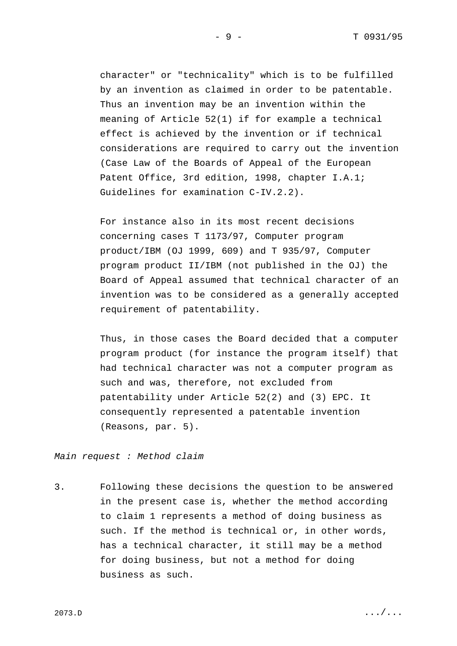character" or "technicality" which is to be fulfilled by an invention as claimed in order to be patentable. Thus an invention may be an invention within the meaning of Article 52(1) if for example a technical effect is achieved by the invention or if technical considerations are required to carry out the invention (Case Law of the Boards of Appeal of the European Patent Office, 3rd edition, 1998, chapter I.A.1; Guidelines for examination C-IV.2.2).

For instance also in its most recent decisions concerning cases T 1173/97, Computer program product/IBM (OJ 1999, 609) and T 935/97, Computer program product II/IBM (not published in the OJ) the Board of Appeal assumed that technical character of an invention was to be considered as a generally accepted requirement of patentability.

Thus, in those cases the Board decided that a computer program product (for instance the program itself) that had technical character was not a computer program as such and was, therefore, not excluded from patentability under Article 52(2) and (3) EPC. It consequently represented a patentable invention (Reasons, par. 5).

*Main request : Method claim*

3. Following these decisions the question to be answered in the present case is, whether the method according to claim 1 represents a method of doing business as such. If the method is technical or, in other words, has a technical character, it still may be a method for doing business, but not a method for doing business as such.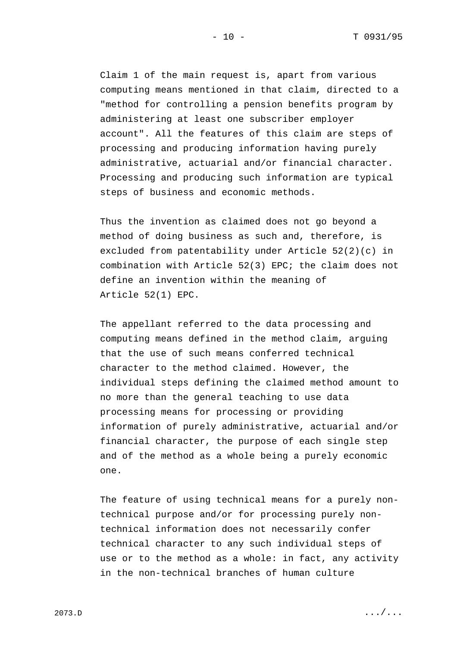Claim 1 of the main request is, apart from various computing means mentioned in that claim, directed to a "method for controlling a pension benefits program by administering at least one subscriber employer account". All the features of this claim are steps of processing and producing information having purely administrative, actuarial and/or financial character. Processing and producing such information are typical steps of business and economic methods.

Thus the invention as claimed does not go beyond a method of doing business as such and, therefore, is excluded from patentability under Article 52(2)(c) in combination with Article 52(3) EPC; the claim does not define an invention within the meaning of Article 52(1) EPC.

The appellant referred to the data processing and computing means defined in the method claim, arguing that the use of such means conferred technical character to the method claimed. However, the individual steps defining the claimed method amount to no more than the general teaching to use data processing means for processing or providing information of purely administrative, actuarial and/or financial character, the purpose of each single step and of the method as a whole being a purely economic one.

The feature of using technical means for a purely nontechnical purpose and/or for processing purely nontechnical information does not necessarily confer technical character to any such individual steps of use or to the method as a whole: in fact, any activity in the non-technical branches of human culture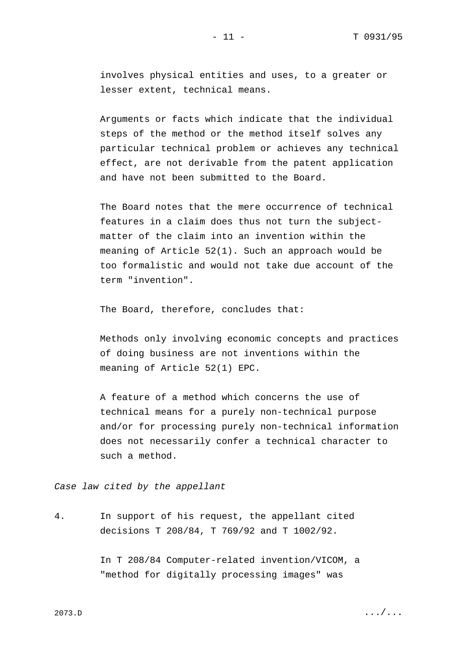involves physical entities and uses, to a greater or lesser extent, technical means.

Arguments or facts which indicate that the individual steps of the method or the method itself solves any particular technical problem or achieves any technical effect, are not derivable from the patent application and have not been submitted to the Board.

The Board notes that the mere occurrence of technical features in a claim does thus not turn the subjectmatter of the claim into an invention within the meaning of Article 52(1). Such an approach would be too formalistic and would not take due account of the term "invention".

The Board, therefore, concludes that:

Methods only involving economic concepts and practices of doing business are not inventions within the meaning of Article 52(1) EPC.

A feature of a method which concerns the use of technical means for a purely non-technical purpose and/or for processing purely non-technical information does not necessarily confer a technical character to such a method.

*Case law cited by the appellant*

4. In support of his request, the appellant cited decisions T 208/84, T 769/92 and T 1002/92.

> In T 208/84 Computer-related invention/VICOM, a "method for digitally processing images" was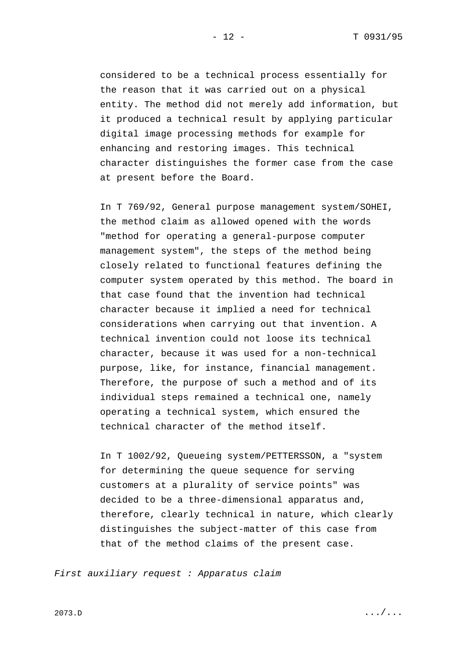considered to be a technical process essentially for the reason that it was carried out on a physical entity. The method did not merely add information, but it produced a technical result by applying particular digital image processing methods for example for enhancing and restoring images. This technical character distinguishes the former case from the case at present before the Board.

In T 769/92, General purpose management system/SOHEI, the method claim as allowed opened with the words "method for operating a general-purpose computer management system", the steps of the method being closely related to functional features defining the computer system operated by this method. The board in that case found that the invention had technical character because it implied a need for technical considerations when carrying out that invention. A technical invention could not loose its technical character, because it was used for a non-technical purpose, like, for instance, financial management. Therefore, the purpose of such a method and of its individual steps remained a technical one, namely operating a technical system, which ensured the technical character of the method itself.

In T 1002/92, Queueing system/PETTERSSON, a "system for determining the queue sequence for serving customers at a plurality of service points" was decided to be a three-dimensional apparatus and, therefore, clearly technical in nature, which clearly distinguishes the subject-matter of this case from that of the method claims of the present case.

*First auxiliary request : Apparatus claim*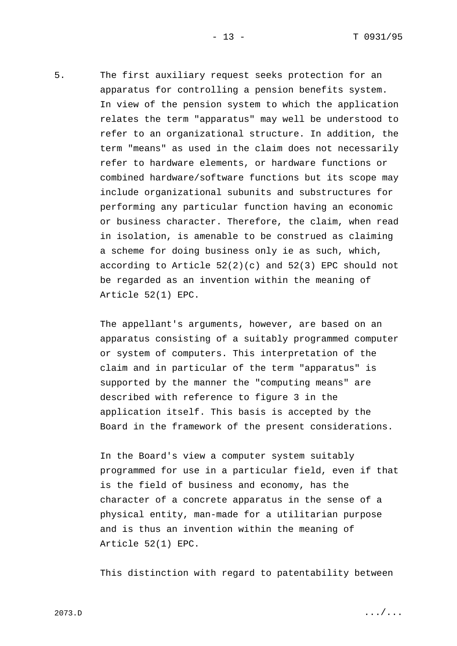5. The first auxiliary request seeks protection for an apparatus for controlling a pension benefits system. In view of the pension system to which the application relates the term "apparatus" may well be understood to refer to an organizational structure. In addition, the term "means" as used in the claim does not necessarily refer to hardware elements, or hardware functions or combined hardware/software functions but its scope may include organizational subunits and substructures for performing any particular function having an economic or business character. Therefore, the claim, when read in isolation, is amenable to be construed as claiming a scheme for doing business only ie as such, which, according to Article  $52(2)(c)$  and  $52(3)$  EPC should not be regarded as an invention within the meaning of Article 52(1) EPC.

> The appellant's arguments, however, are based on an apparatus consisting of a suitably programmed computer or system of computers. This interpretation of the claim and in particular of the term "apparatus" is supported by the manner the "computing means" are described with reference to figure 3 in the application itself. This basis is accepted by the Board in the framework of the present considerations.

> In the Board's view a computer system suitably programmed for use in a particular field, even if that is the field of business and economy, has the character of a concrete apparatus in the sense of a physical entity, man-made for a utilitarian purpose and is thus an invention within the meaning of Article 52(1) EPC.

This distinction with regard to patentability between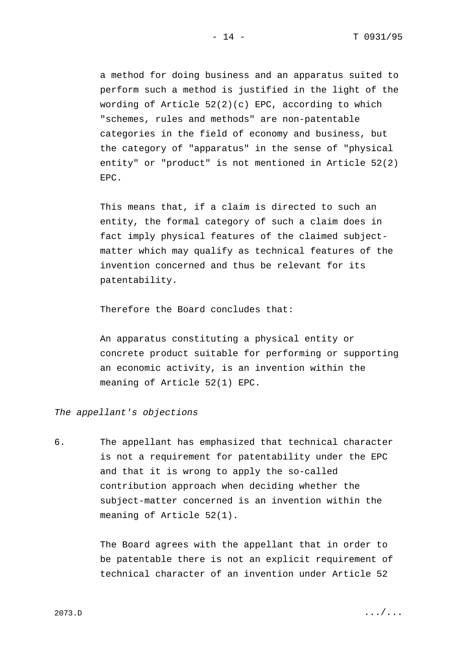a method for doing business and an apparatus suited to perform such a method is justified in the light of the wording of Article 52(2)(c) EPC, according to which "schemes, rules and methods" are non-patentable categories in the field of economy and business, but the category of "apparatus" in the sense of "physical entity" or "product" is not mentioned in Article 52(2) EPC.

This means that, if a claim is directed to such an entity, the formal category of such a claim does in fact imply physical features of the claimed subjectmatter which may qualify as technical features of the invention concerned and thus be relevant for its patentability.

Therefore the Board concludes that:

An apparatus constituting a physical entity or concrete product suitable for performing or supporting an economic activity, is an invention within the meaning of Article 52(1) EPC.

### *The appellant's objections*

6. The appellant has emphasized that technical character is not a requirement for patentability under the EPC and that it is wrong to apply the so-called contribution approach when deciding whether the subject-matter concerned is an invention within the meaning of Article 52(1).

> The Board agrees with the appellant that in order to be patentable there is not an explicit requirement of technical character of an invention under Article 52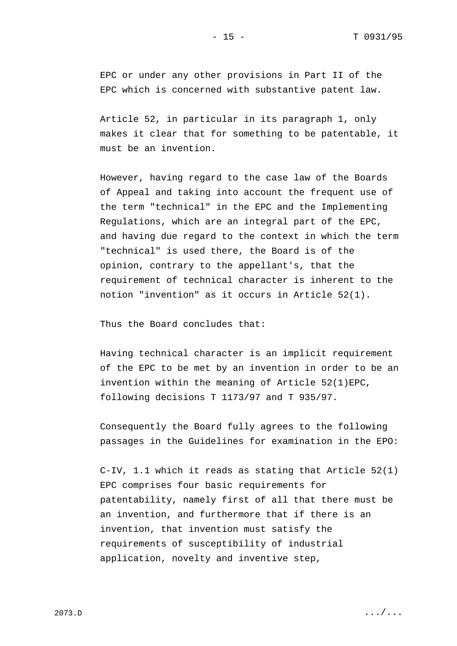EPC or under any other provisions in Part II of the EPC which is concerned with substantive patent law.

Article 52, in particular in its paragraph 1, only makes it clear that for something to be patentable, it must be an invention.

However, having regard to the case law of the Boards of Appeal and taking into account the frequent use of the term "technical" in the EPC and the Implementing Regulations, which are an integral part of the EPC, and having due regard to the context in which the term "technical" is used there, the Board is of the opinion, contrary to the appellant's, that the requirement of technical character is inherent to the notion "invention" as it occurs in Article 52(1).

Thus the Board concludes that:

Having technical character is an implicit requirement of the EPC to be met by an invention in order to be an invention within the meaning of Article 52(1)EPC, following decisions T 1173/97 and T 935/97.

Consequently the Board fully agrees to the following passages in the Guidelines for examination in the EPO:

C-IV, 1.1 which it reads as stating that Article 52(1) EPC comprises four basic requirements for patentability, namely first of all that there must be an invention, and furthermore that if there is an invention, that invention must satisfy the requirements of susceptibility of industrial application, novelty and inventive step,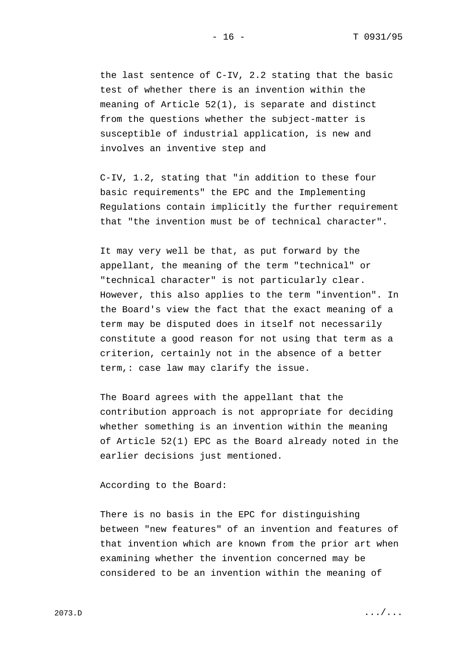the last sentence of C-IV, 2.2 stating that the basic test of whether there is an invention within the meaning of Article 52(1), is separate and distinct from the questions whether the subject-matter is susceptible of industrial application, is new and involves an inventive step and

C-IV, 1.2, stating that "in addition to these four basic requirements" the EPC and the Implementing Regulations contain implicitly the further requirement that "the invention must be of technical character".

It may very well be that, as put forward by the appellant, the meaning of the term "technical" or "technical character" is not particularly clear. However, this also applies to the term "invention". In the Board's view the fact that the exact meaning of a term may be disputed does in itself not necessarily constitute a good reason for not using that term as a criterion, certainly not in the absence of a better term,: case law may clarify the issue.

The Board agrees with the appellant that the contribution approach is not appropriate for deciding whether something is an invention within the meaning of Article 52(1) EPC as the Board already noted in the earlier decisions just mentioned.

According to the Board:

There is no basis in the EPC for distinguishing between "new features" of an invention and features of that invention which are known from the prior art when examining whether the invention concerned may be considered to be an invention within the meaning of

 $2073.D$  .  $D$  ... / ...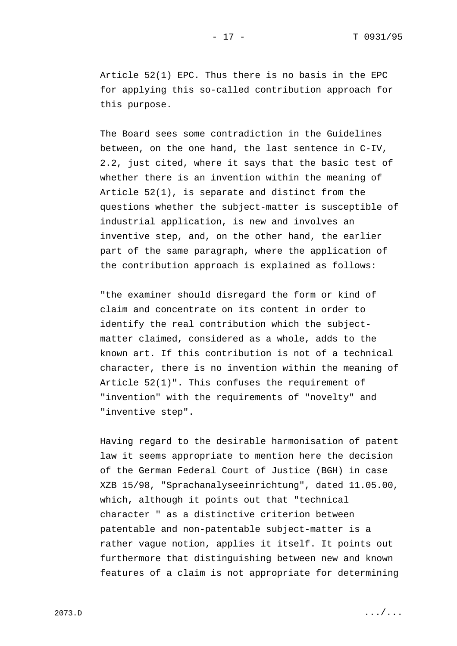Article 52(1) EPC. Thus there is no basis in the EPC for applying this so-called contribution approach for this purpose.

The Board sees some contradiction in the Guidelines between, on the one hand, the last sentence in C-IV, 2.2, just cited, where it says that the basic test of whether there is an invention within the meaning of Article 52(1), is separate and distinct from the questions whether the subject-matter is susceptible of industrial application, is new and involves an inventive step, and, on the other hand, the earlier part of the same paragraph, where the application of the contribution approach is explained as follows:

"the examiner should disregard the form or kind of claim and concentrate on its content in order to identify the real contribution which the subjectmatter claimed, considered as a whole, adds to the known art. If this contribution is not of a technical character, there is no invention within the meaning of Article 52(1)". This confuses the requirement of "invention" with the requirements of "novelty" and "inventive step".

Having regard to the desirable harmonisation of patent law it seems appropriate to mention here the decision of the German Federal Court of Justice (BGH) in case XZB 15/98, "Sprachanalyseeinrichtung", dated 11.05.00, which, although it points out that "technical character " as a distinctive criterion between patentable and non-patentable subject-matter is a rather vague notion, applies it itself. It points out furthermore that distinguishing between new and known features of a claim is not appropriate for determining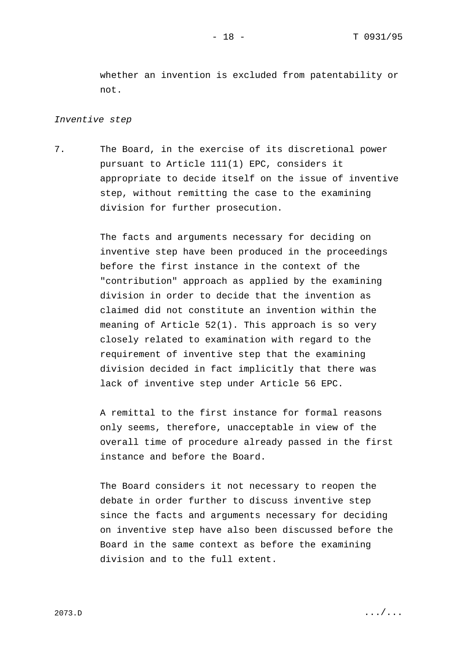whether an invention is excluded from patentability or not.

## *Inventive step*

7. The Board, in the exercise of its discretional power pursuant to Article 111(1) EPC, considers it appropriate to decide itself on the issue of inventive step, without remitting the case to the examining division for further prosecution.

> The facts and arguments necessary for deciding on inventive step have been produced in the proceedings before the first instance in the context of the "contribution" approach as applied by the examining division in order to decide that the invention as claimed did not constitute an invention within the meaning of Article 52(1). This approach is so very closely related to examination with regard to the requirement of inventive step that the examining division decided in fact implicitly that there was lack of inventive step under Article 56 EPC.

A remittal to the first instance for formal reasons only seems, therefore, unacceptable in view of the overall time of procedure already passed in the first instance and before the Board.

The Board considers it not necessary to reopen the debate in order further to discuss inventive step since the facts and arguments necessary for deciding on inventive step have also been discussed before the Board in the same context as before the examining division and to the full extent.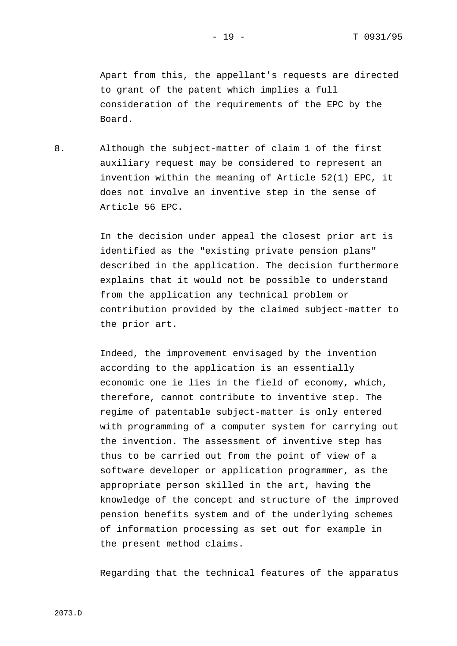Apart from this, the appellant's requests are directed to grant of the patent which implies a full consideration of the requirements of the EPC by the Board.

8. Although the subject-matter of claim 1 of the first auxiliary request may be considered to represent an invention within the meaning of Article 52(1) EPC, it does not involve an inventive step in the sense of Article 56 EPC.

> In the decision under appeal the closest prior art is identified as the "existing private pension plans" described in the application. The decision furthermore explains that it would not be possible to understand from the application any technical problem or contribution provided by the claimed subject-matter to the prior art.

> Indeed, the improvement envisaged by the invention according to the application is an essentially economic one ie lies in the field of economy, which, therefore, cannot contribute to inventive step. The regime of patentable subject-matter is only entered with programming of a computer system for carrying out the invention. The assessment of inventive step has thus to be carried out from the point of view of a software developer or application programmer, as the appropriate person skilled in the art, having the knowledge of the concept and structure of the improved pension benefits system and of the underlying schemes of information processing as set out for example in the present method claims.

> Regarding that the technical features of the apparatus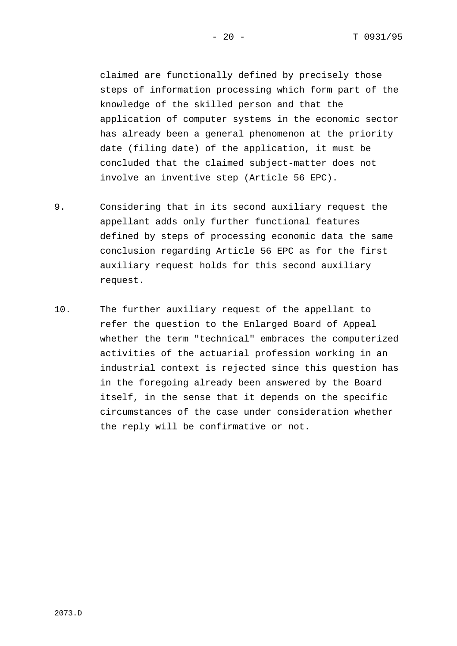claimed are functionally defined by precisely those steps of information processing which form part of the knowledge of the skilled person and that the application of computer systems in the economic sector has already been a general phenomenon at the priority date (filing date) of the application, it must be concluded that the claimed subject-matter does not involve an inventive step (Article 56 EPC).

- 9. Considering that in its second auxiliary request the appellant adds only further functional features defined by steps of processing economic data the same conclusion regarding Article 56 EPC as for the first auxiliary request holds for this second auxiliary request.
- 10. The further auxiliary request of the appellant to refer the question to the Enlarged Board of Appeal whether the term "technical" embraces the computerized activities of the actuarial profession working in an industrial context is rejected since this question has in the foregoing already been answered by the Board itself, in the sense that it depends on the specific circumstances of the case under consideration whether the reply will be confirmative or not.